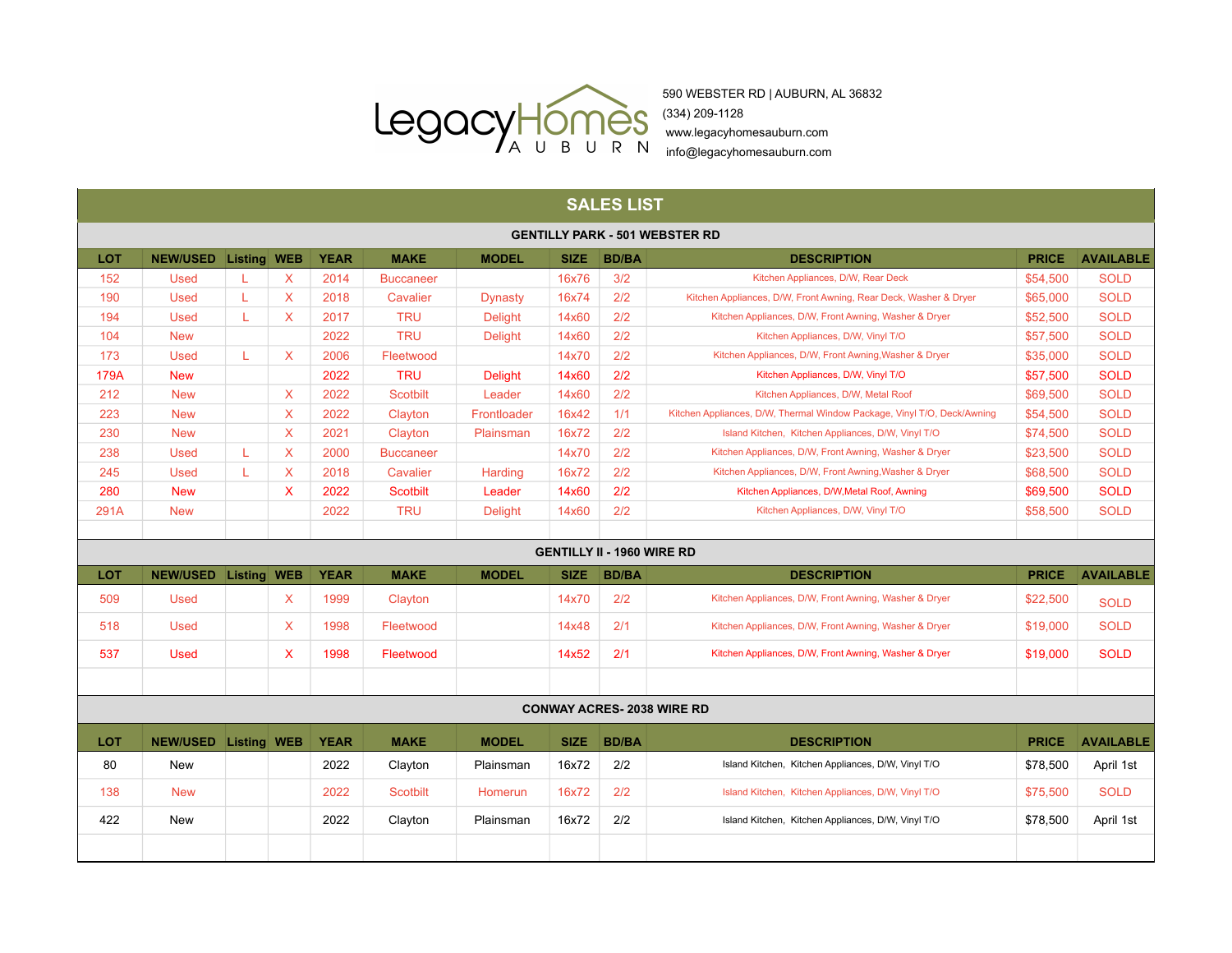

590 WEBSTER RD | AUBURN, AL 36832

www.legacyhomesauburn.com

info@legacyhomesauburn.com info@legacyhomesauburn.com

| <b>SALES LIST</b>                     |                 |                    |              |             |                  |                |             |              |                                                                         |              |                  |  |
|---------------------------------------|-----------------|--------------------|--------------|-------------|------------------|----------------|-------------|--------------|-------------------------------------------------------------------------|--------------|------------------|--|
| <b>GENTILLY PARK - 501 WEBSTER RD</b> |                 |                    |              |             |                  |                |             |              |                                                                         |              |                  |  |
| LOT                                   | <b>NEW/USED</b> | <b>Listing WEB</b> |              | <b>YEAR</b> | <b>MAKE</b>      | <b>MODEL</b>   | <b>SIZE</b> | <b>BD/BA</b> | <b>DESCRIPTION</b>                                                      | <b>PRICE</b> | <b>AVAILABLE</b> |  |
| 152                                   | <b>Used</b>     | L                  | $\sf X$      | 2014        | <b>Buccaneer</b> |                | 16x76       | 3/2          | Kitchen Appliances, D/W, Rear Deck                                      | \$54,500     | <b>SOLD</b>      |  |
| 190                                   | <b>Used</b>     | L                  | $\sf X$      | 2018        | Cavalier         | <b>Dynasty</b> | 16x74       | 2/2          | Kitchen Appliances, D/W, Front Awning, Rear Deck, Washer & Dryer        | \$65,000     | <b>SOLD</b>      |  |
| 194                                   | <b>Used</b>     | L                  | $\mathsf{X}$ | 2017        | <b>TRU</b>       | <b>Delight</b> | 14x60       | 2/2          | Kitchen Appliances, D/W, Front Awning, Washer & Dryer                   | \$52,500     | <b>SOLD</b>      |  |
| 104                                   | <b>New</b>      |                    |              | 2022        | <b>TRU</b>       | <b>Delight</b> | 14x60       | 2/2          | Kitchen Appliances, D/W, Vinyl T/O                                      | \$57,500     | <b>SOLD</b>      |  |
| 173                                   | <b>Used</b>     | L                  | $\mathsf{X}$ | 2006        | Fleetwood        |                | 14x70       | 2/2          | Kitchen Appliances, D/W, Front Awning, Washer & Dryer                   | \$35,000     | <b>SOLD</b>      |  |
| 179A                                  | <b>New</b>      |                    |              | 2022        | <b>TRU</b>       | <b>Delight</b> | 14x60       | 2/2          | Kitchen Appliances, D/W, Vinyl T/O                                      | \$57,500     | <b>SOLD</b>      |  |
| 212                                   | <b>New</b>      |                    | $\mathsf{X}$ | 2022        | <b>Scotbilt</b>  | Leader         | 14x60       | 2/2          | Kitchen Appliances, D/W, Metal Roof                                     | \$69,500     | <b>SOLD</b>      |  |
| 223                                   | <b>New</b>      |                    | $\mathsf{X}$ | 2022        | Clayton          | Frontloader    | 16x42       | 1/1          | Kitchen Appliances, D/W, Thermal Window Package, Vinyl T/O, Deck/Awning | \$54,500     | <b>SOLD</b>      |  |
| 230                                   | <b>New</b>      |                    | $\mathsf{X}$ | 2021        | Clayton          | Plainsman      | 16x72       | 2/2          | Island Kitchen, Kitchen Appliances, D/W, Vinyl T/O                      | \$74,500     | <b>SOLD</b>      |  |
| 238                                   | <b>Used</b>     | L                  | X            | 2000        | <b>Buccaneer</b> |                | 14x70       | 2/2          | Kitchen Appliances, D/W, Front Awning, Washer & Dryer                   | \$23,500     | <b>SOLD</b>      |  |
| 245                                   | <b>Used</b>     | L                  | $\sf X$      | 2018        | Cavalier         | Harding        | 16x72       | 2/2          | Kitchen Appliances, D/W, Front Awning, Washer & Dryer                   | \$68,500     | <b>SOLD</b>      |  |
| 280                                   | <b>New</b>      |                    | $\mathsf{x}$ | 2022        | <b>Scotbilt</b>  | Leader         | 14x60       | 2/2          | Kitchen Appliances, D/W, Metal Roof, Awning                             | \$69,500     | <b>SOLD</b>      |  |
| 291A                                  | <b>New</b>      |                    |              | 2022        | <b>TRU</b>       | <b>Delight</b> | 14x60       | 2/2          | Kitchen Appliances, D/W, Vinyl T/O                                      | \$58,500     | <b>SOLD</b>      |  |
|                                       |                 |                    |              |             |                  |                |             |              |                                                                         |              |                  |  |
| <b>GENTILLY II - 1960 WIRE RD</b>     |                 |                    |              |             |                  |                |             |              |                                                                         |              |                  |  |
| LOT                                   | <b>NEW/USED</b> | Listing WEB        |              | <b>YEAR</b> | <b>MAKE</b>      | <b>MODEL</b>   | <b>SIZE</b> | <b>BD/BA</b> | <b>DESCRIPTION</b>                                                      | <b>PRICE</b> | <b>AVAILABLE</b> |  |
| 509                                   | <b>Used</b>     |                    | X            | 1999        | Clayton          |                | 14x70       | 2/2          | Kitchen Appliances, D/W, Front Awning, Washer & Dryer                   | \$22,500     | <b>SOLD</b>      |  |
| 518                                   | <b>Used</b>     |                    | X            | 1998        | Fleetwood        |                | 14x48       | 2/1          | Kitchen Appliances, D/W, Front Awning, Washer & Dryer                   | \$19,000     | <b>SOLD</b>      |  |
| 537                                   | <b>Used</b>     |                    | X            | 1998        | Fleetwood        |                | 14x52       | 2/1          | Kitchen Appliances, D/W, Front Awning, Washer & Dryer                   | \$19,000     | <b>SOLD</b>      |  |
|                                       |                 |                    |              |             |                  |                |             |              |                                                                         |              |                  |  |
|                                       |                 |                    |              |             |                  |                |             |              | <b>CONWAY ACRES-2038 WIRE RD</b>                                        |              |                  |  |
| LOT                                   | <b>NEW/USED</b> | Listing WEB        |              | <b>YEAR</b> | <b>MAKE</b>      | <b>MODEL</b>   | <b>SIZE</b> | <b>BD/BA</b> | <b>DESCRIPTION</b>                                                      | <b>PRICE</b> | <b>AVAILABLE</b> |  |
| 80                                    | <b>New</b>      |                    |              | 2022        | Clayton          | Plainsman      | 16x72       | 2/2          | Island Kitchen, Kitchen Appliances, D/W, Vinyl T/O                      | \$78.500     | April 1st        |  |
| 138                                   | <b>New</b>      |                    |              | 2022        | <b>Scotbilt</b>  | <b>Homerun</b> | 16x72       | 2/2          | Island Kitchen, Kitchen Appliances, D/W, Vinyl T/O                      | \$75,500     | <b>SOLD</b>      |  |
| 422                                   | <b>New</b>      |                    |              | 2022        | Clayton          | Plainsman      | 16x72       | 2/2          | Island Kitchen, Kitchen Appliances, D/W, Vinyl T/O                      | \$78,500     | April 1st        |  |
|                                       |                 |                    |              |             |                  |                |             |              |                                                                         |              |                  |  |